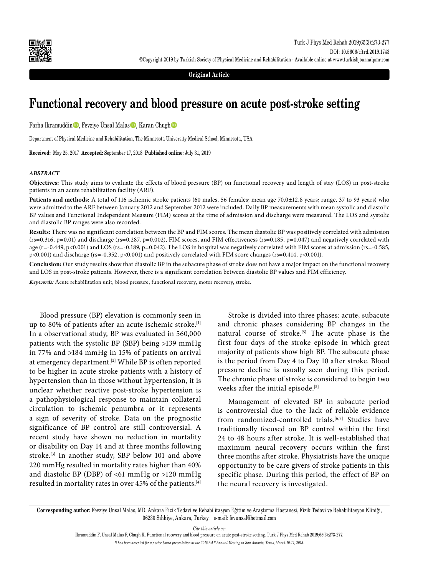

**Original Article**

# **Functional recovery and blood pressure on acute post-stroke setting**

Farha Ikramuddin, Fevziye Ünsal Malas, Karan Chugh

Department of Physical Medicine and Rehabilitation, The Minnesota University Medical School, Minnesota, USA

**Received:** May 25, 2017 **Accepted:** September 17, 2018 **Published online:** July 31, 2019

#### *ABSTRACT*

**Objectives:** This study aims to evaluate the effects of blood pressure (BP) on functional recovery and length of stay (LOS) in post-stroke patients in an acute rehabilitation facility (ARF).

**Patients and methods:** A total of 116 ischemic stroke patients (60 males, 56 females; mean age 70.0±12.8 years; range, 37 to 93 years) who were admitted to the ARF between January 2012 and September 2012 were included. Daily BP measurements with mean systolic and diastolic BP values and Functional Independent Measure (FIM) scores at the time of admission and discharge were measured. The LOS and systolic and diastolic BP ranges were also recorded.

**Results:** There was no significant correlation between the BP and FIM scores. The mean diastolic BP was positively correlated with admission  $(r_s=0.316, p=0.01)$  and discharge (rs=0.287, p=0.002), FIM scores, and FIM effectiveness (rs=0.185, p=0.047) and negatively correlated with age ( $r=-0.449$ ,  $p<0.001$ ) and LOS ( $rs=-0.189$ ,  $p=0.042$ ). The LOS in hospital was negatively correlated with FIM scores at admission ( $rs=-0.585$ , p<0.001) and discharge (rs=-0.352, p<0.001) and positively correlated with FIM score changes (rs=0.414, p<0.001).

**Conclusion:** Our study results show that diastolic BP in the subacute phase of stroke does not have a major impact on the functional recovery and LOS in post-stroke patients. However, there is a significant correlation between diastolic BP values and FIM efficiency.

*Keywords:* Acute rehabilitation unit, blood pressure, functional recovery, motor recovery, stroke.

Blood pressure (BP) elevation is commonly seen in up to 80% of patients after an acute ischemic stroke.<sup>[1]</sup> In a observational study, BP was evaluated in 560,000 patients with the systolic BP (SBP) being >139 mmHg in 77% and >184 mmHg in 15% of patients on arrival at emergency department.<sup>[2]</sup> While BP is often reported to be higher in acute stroke patients with a history of hypertension than in those without hypertension, it is unclear whether reactive post-stroke hypertension is a pathophysiological response to maintain collateral circulation to ischemic penumbra or it represents a sign of severity of stroke. Data on the prognostic significance of BP control are still controversial. A recent study have shown no reduction in mortality or disability on Day 14 and at three months following stroke.<sup>[3]</sup> In another study, SBP below 101 and above 220 mmHg resulted in mortality rates higher than 40% and diastolic BP (DBP) of <61 mmHg or >120 mmHg resulted in mortality rates in over 45% of the patients.[4]

Stroke is divided into three phases: acute, subacute and chronic phases considering BP changes in the natural course of stroke.[5] The acute phase is the first four days of the stroke episode in which great majority of patients show high BP. The subacute phase is the period from Day 4 to Day 10 after stroke. Blood pressure decline is usually seen during this period. The chronic phase of stroke is considered to begin two weeks after the initial episode.<sup>[5]</sup>

Management of elevated BP in subacute period is controversial due to the lack of reliable evidence from randomized-controlled trials.<sup>[6,7]</sup> Studies have traditionally focused on BP control within the first 24 to 48 hours after stroke. It is well-established that maximum neural recovery occurs within the first three months after stroke. Physiatrists have the unique opportunity to be care givers of stroke patients in this specific phase. During this period, the effect of BP on the neural recovery is investigated.

*Cite this article as:*

**Corresponding author:** Fevziye Ünsal Malas, MD. Ankara Fizik Tedavi ve Rehabilitasyon Eğitim ve Araştırma Hastanesi, Fizik Tedavi ve Rehabilitasyon Kliniği, 06230 Sıhhiye, Ankara, Turkey. e-mail: fevunsal@hotmail.com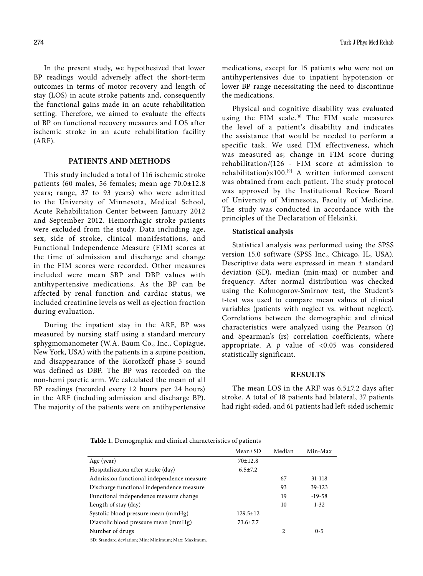In the present study, we hypothesized that lower BP readings would adversely affect the short-term outcomes in terms of motor recovery and length of stay (LOS) in acute stroke patients and, consequently the functional gains made in an acute rehabilitation setting. Therefore, we aimed to evaluate the effects of BP on functional recovery measures and LOS after ischemic stroke in an acute rehabilitation facility (ARF).

## **PATIENTS AND METHODS**

This study included a total of 116 ischemic stroke patients (60 males, 56 females; mean age 70.0±12.8 years; range, 37 to 93 years) who were admitted to the University of Minnesota, Medical School, Acute Rehabilitation Center between January 2012 and September 2012. Hemorrhagic stroke patients were excluded from the study. Data including age, sex, side of stroke, clinical manifestations, and Functional Independence Measure (FIM) scores at the time of admission and discharge and change in the FIM scores were recorded. Other measures included were mean SBP and DBP values with antihypertensive medications. As the BP can be affected by renal function and cardiac status, we included creatinine levels as well as ejection fraction during evaluation.

During the inpatient stay in the ARF, BP was measured by nursing staff using a standard mercury sphygmomanometer (W.A. Baum Co., Inc., Copiague, New York, USA) with the patients in a supine position, and disappearance of the Korotkoff phase-5 sound was defined as DBP. The BP was recorded on the non-hemi paretic arm. We calculated the mean of all BP readings (recorded every 12 hours per 24 hours) in the ARF (including admission and discharge BP). The majority of the patients were on antihypertensive medications, except for 15 patients who were not on antihypertensives due to inpatient hypotension or lower BP range necessitating the need to discontinue the medications.

Physical and cognitive disability was evaluated using the FIM scale.[8] The FIM scale measures the level of a patient's disability and indicates the assistance that would be needed to perform a specific task. We used FIM effectiveness, which was measured as; change in FIM score during rehabilitation/(126 - FIM score at admission to rehabilitation) $\times$ 100.<sup>[9]</sup> A written informed consent was obtained from each patient. The study protocol was approved by the Institutional Review Board of University of Minnesota, Faculty of Medicine. The study was conducted in accordance with the principles of the Declaration of Helsinki.

## **Statistical analysis**

Statistical analysis was performed using the SPSS version 15.0 software (SPSS Inc., Chicago, IL, USA). Descriptive data were expressed in mean ± standard deviation (SD), median (min-max) or number and frequency. After normal distribution was checked using the Kolmogorov-Smirnov test, the Student's t-test was used to compare mean values of clinical variables (patients with neglect vs. without neglect). Correlations between the demographic and clinical characteristics were analyzed using the Pearson (r) and Spearman's (rs) correlation coefficients, where appropriate. A  $p$  value of <0.05 was considered statistically significant.

## **RESULTS**

The mean LOS in the ARF was 6.5±7.2 days after stroke. A total of 18 patients had bilateral, 37 patients had right-sided, and 61 patients had left-sided ischemic

**Table 1.** Demographic and clinical characteristics of patients

|                                           | $Mean \pm SD$  | Median | Min-Max    |
|-------------------------------------------|----------------|--------|------------|
| Age (year)                                | $70+12.8$      |        |            |
| Hospitalization after stroke (day)        | $6.5 + 7.2$    |        |            |
| Admission functional independence measure |                | 67     | $31 - 118$ |
| Discharge functional independence measure |                | 93     | 39-123     |
| Functional independence measure change    |                | 19     | $-19-58$   |
| Length of stay (day)                      |                | 10     | $1 - 32$   |
| Systolic blood pressure mean (mmHg)       | $129.5 \pm 12$ |        |            |
| Diastolic blood pressure mean (mmHg)      | $73.6 \pm 7.7$ |        |            |
| Number of drugs                           |                | 2      | $0 - 5$    |
|                                           |                |        |            |

SD: Standard deviation; Min: Minimum; Max: Maximum.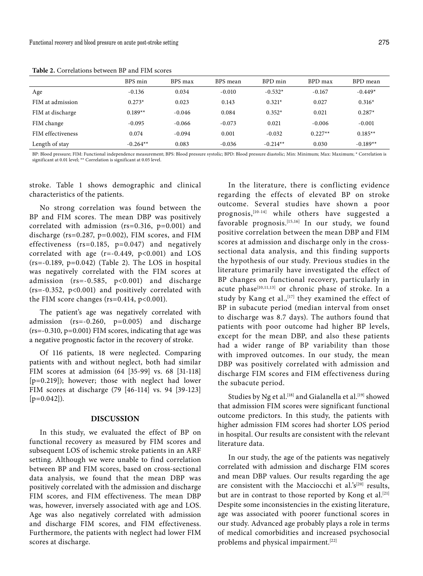|                   | BPS min    | BPS max  | BPS mean | BPD min    | BPD max   | BPD mean   |
|-------------------|------------|----------|----------|------------|-----------|------------|
| Age               | $-0.136$   | 0.034    | $-0.010$ | $-0.532*$  | $-0.167$  | $-0.449*$  |
| FIM at admission  | $0.273*$   | 0.023    | 0.143    | $0.321*$   | 0.027     | $0.316*$   |
| FIM at discharge  | $0.189**$  | $-0.046$ | 0.084    | $0.352*$   | 0.021     | $0.287*$   |
| FIM change        | $-0.095$   | $-0.066$ | $-0.073$ | 0.021      | $-0.006$  | $-0.001$   |
| FIM effectiveness | 0.074      | $-0.094$ | 0.001    | $-0.032$   | $0.227**$ | $0.185**$  |
| Length of stay    | $-0.264**$ | 0.083    | $-0.036$ | $-0.214**$ | 0.030     | $-0.189**$ |

**Table 2.** Correlations between BP and FIM scores

BP: Blood pressure; FIM: Functional independence measurement; BPS: Blood pressure systolic; BPD: Blood pressure diastolic; Min: Minimum; Max: Maximum; \* Correlation is significant at 0.01 level; \*\* Correlation is significant at 0.05 level.

stroke. Table 1 shows demographic and clinical characteristics of the patients.

No strong correlation was found between the BP and FIM scores. The mean DBP was positively correlated with admission (rs=0.316, p=0.001) and discharge (rs=0.287, p=0.002), FIM scores, and FIM effectiveness (rs=0.185, p=0.047) and negatively correlated with age  $(r=-0.449, p<0.001)$  and LOS  $(rs=-0.189, p=0.042)$  (Table 2). The LOS in hospital was negatively correlated with the FIM scores at admission (rs=-0.585, p<0.001) and discharge (rs=-0.352, p<0.001) and positively correlated with the FIM score changes ( $rs=0.414$ ,  $p<0.001$ ).

The patient's age was negatively correlated with admission (rs=-0.260, p=0.005) and discharge (rs=-0.310, p=0.001) FIM scores, indicating that age was a negative prognostic factor in the recovery of stroke.

Of 116 patients, 18 were neglected. Comparing patients with and without neglect, both had similar FIM scores at admission (64 [35-99] vs. 68 [31-118] [p=0.219]); however; those with neglect had lower FIM scores at discharge (79 [46-114] vs. 94 [39-123]  $[p=0.042]$ .

## **DISCUSSION**

In this study, we evaluated the effect of BP on functional recovery as measured by FIM scores and subsequent LOS of ischemic stroke patients in an ARF setting. Although we were unable to find correlation between BP and FIM scores, based on cross-sectional data analysis, we found that the mean DBP was positively correlated with the admission and discharge FIM scores, and FIM effectiveness. The mean DBP was, however, inversely associated with age and LOS. Age was also negatively correlated with admission and discharge FIM scores, and FIM effectiveness. Furthermore, the patients with neglect had lower FIM scores at discharge.

In the literature, there is conflicting evidence regarding the effects of elevated BP on stroke outcome. Several studies have shown a poor prognosis,[10-14] while others have suggested a favorable prognosis.<sup>[15,16]</sup> In our study, we found positive correlation between the mean DBP and FIM scores at admission and discharge only in the crosssectional data analysis, and this finding supports the hypothesis of our study. Previous studies in the literature primarily have investigated the effect of BP changes on functional recovery, particularly in acute phase<sup>[10,11,13]</sup> or chronic phase of stroke. In a study by Kang et al.,  $[17]$  they examined the effect of BP in subacute period (median interval from onset to discharge was 8.7 days). The authors found that patients with poor outcome had higher BP levels, except for the mean DBP, and also these patients had a wider range of BP variability than those with improved outcomes. In our study, the mean DBP was positively correlated with admission and discharge FIM scores and FIM effectiveness during the subacute period.

Studies by Ng et al.<sup>[18]</sup> and Gialanella et al.<sup>[19]</sup> showed that admission FIM scores were significant functional outcome predictors. In this study, the patients with higher admission FIM scores had shorter LOS period in hospital. Our results are consistent with the relevant literature data.

In our study, the age of the patients was negatively correlated with admission and discharge FIM scores and mean DBP values. Our results regarding the age are consistent with the Macciocchi et al.'s<sup>[20]</sup> results, but are in contrast to those reported by Kong et al.<sup>[21]</sup> Despite some inconsistencies in the existing literature, age was associated with poorer functional scores in our study. Advanced age probably plays a role in terms of medical comorbidities and increased psychosocial problems and physical impairment.<sup>[22]</sup>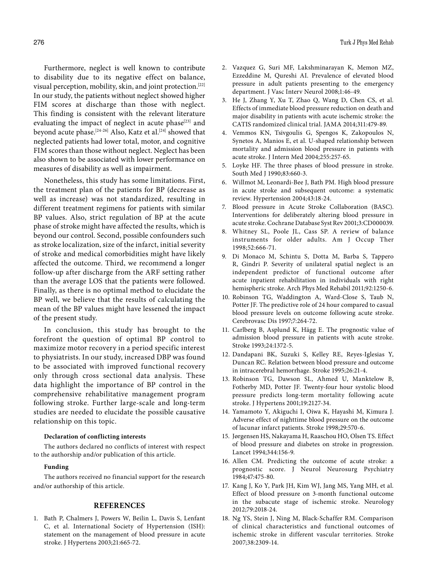Furthermore, neglect is well known to contribute to disability due to its negative effect on balance, visual perception, mobility, skin, and joint protection.[22] In our study, the patients without neglect showed higher FIM scores at discharge than those with neglect. This finding is consistent with the relevant literature evaluating the impact of neglect in acute phase<sup>[23]</sup> and beyond acute phase.<sup>[24-26]</sup> Also, Katz et al.<sup>[24]</sup> showed that neglected patients had lower total, motor, and cognitive FIM scores than those without neglect. Neglect has been also shown to be associated with lower performance on measures of disability as well as impairment.

Nonetheless, this study has some limitations. First, the treatment plan of the patients for BP (decrease as well as increase) was not standardized, resulting in different treatment regimens for patients with similar BP values. Also, strict regulation of BP at the acute phase of stroke might have affected the results, which is beyond our control. Second, possible confounders such as stroke localization, size of the infarct, initial severity of stroke and medical comorbidities might have likely affected the outcome. Third, we recommend a longer follow-up after discharge from the ARF setting rather than the average LOS that the patients were followed. Finally, as there is no optimal method to elucidate the BP well, we believe that the results of calculating the mean of the BP values might have lessened the impact of the present study.

In conclusion, this study has brought to the forefront the question of optimal BP control to maximize motor recovery in a period specific interest to physiatrists. In our study, increased DBP was found to be associated with improved functional recovery only through cross sectional data analysis. These data highlight the importance of BP control in the comprehensive rehabilitative management program following stroke. Further large-scale and long-term studies are needed to elucidate the possible causative relationship on this topic.

#### **Declaration of conflicting interests**

The authors declared no conflicts of interest with respect to the authorship and/or publication of this article.

## **Funding**

The authors received no financial support for the research and/or authorship of this article.

## **REFERENCES**

1. Bath P, Chalmers J, Powers W, Beilin L, Davis S, Lenfant C, et al. International Society of Hypertension (ISH): statement on the management of blood pressure in acute stroke. J Hypertens 2003;21:665-72.

- 2. Vazquez G, Suri MF, Lakshminarayan K, Memon MZ, Ezzeddine M, Qureshi AI. Prevalence of elevated blood pressure in adult patients presenting to the emergency department. J Vasc Interv Neurol 2008;1:46-49.
- 3. He J, Zhang Y, Xu T, Zhao Q, Wang D, Chen CS, et al. Effects of immediate blood pressure reduction on death and major disability in patients with acute ischemic stroke: the CATIS randomized clinical trial. JAMA 2014;311:479-89.
- 4. Vemmos KN, Tsivgoulis G, Spengos K, Zakopoulos N, Synetos A, Manios E, et al. U-shaped relationship between mortality and admission blood pressure in patients with acute stroke. J Intern Med 2004;255:257-65.
- 5. Loyke HF. The three phases of blood pressure in stroke. South Med J 1990;83:660-3.
- 6. Willmot M, Leonardi-Bee J, Bath PM. High blood pressure in acute stroke and subsequent outcome: a systematic review. Hypertension 2004;43:18-24.
- 7. Blood pressure in Acute Stroke Collaboration (BASC). Interventions for deliberately altering blood pressure in acute stroke. Cochrane Database Syst Rev 2001;3:CD000039.
- 8. Whitney SL, Poole JL, Cass SP. A review of balance instruments for older adults. Am J Occup Ther 1998;52:666-71.
- 9. Di Monaco M, Schintu S, Dotta M, Barba S, Tappero R, Gindri P. Severity of unilateral spatial neglect is an independent predictor of functional outcome after acute inpatient rehabilitation in individuals with right hemispheric stroke. Arch Phys Med Rehabil 2011;92:1250-6.
- 10. Robinson TG, Waddington A, Ward-Close S, Taub N, Potter JF. The predictive role of 24 hour compared to casual blood pressure levels on outcome following acute stroke. Cerebrovasc Dis 1997;7:264-72.
- 11. Carlberg B, Asplund K, Hägg E. The prognostic value of admission blood pressure in patients with acute stroke. Stroke 1993;24:1372-5.
- 12. Dandapani BK, Suzuki S, Kelley RE, Reyes-Iglesias Y, Duncan RC. Relation between blood pressure and outcome in intracerebral hemorrhage. Stroke 1995;26:21-4.
- 13. Robinson TG, Dawson SL, Ahmed U, Manktelow B, Fotherby MD, Potter JF. Twenty-four hour systolic blood pressure predicts long-term mortality following acute stroke. J Hypertens 2001;19:2127-34.
- 14. Yamamoto Y, Akiguchi I, Oiwa K, Hayashi M, Kimura J. Adverse effect of nighttime blood pressure on the outcome of lacunar infarct patients. Stroke 1998;29:570-6.
- 15. Jørgensen HS, Nakayama H, Raaschou HO, Olsen TS. Effect of blood pressure and diabetes on stroke in progression. Lancet 1994;344:156-9.
- 16. Allen CM. Predicting the outcome of acute stroke: a prognostic score. J Neurol Neurosurg Psychiatry 1984;47:475-80.
- 17. Kang J, Ko Y, Park JH, Kim WJ, Jang MS, Yang MH, et al. Effect of blood pressure on 3-month functional outcome in the subacute stage of ischemic stroke. Neurology 2012;79:2018-24.
- 18. Ng YS, Stein J, Ning M, Black-Schaffer RM. Comparison of clinical characteristics and functional outcomes of ischemic stroke in different vascular territories. Stroke 2007;38:2309-14.